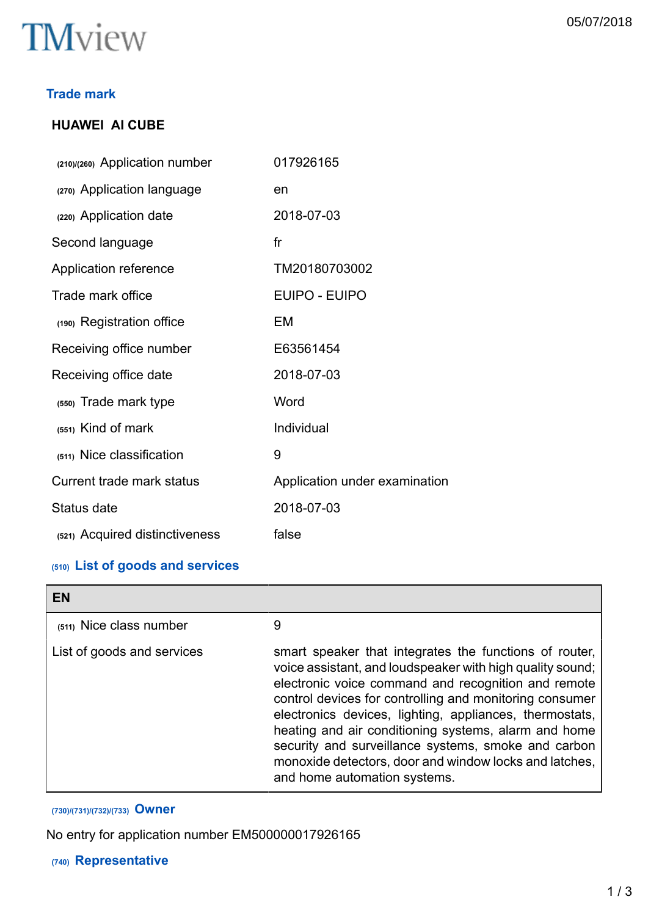

#### **Trade mark**

# **HUAWEI AI CUBE**

| (210)/(260) Application number | 017926165                     |
|--------------------------------|-------------------------------|
| (270) Application language     | en                            |
| (220) Application date         | 2018-07-03                    |
| Second language                | f <sub>r</sub>                |
| Application reference          | TM20180703002                 |
| Trade mark office              | EUIPO - EUIPO                 |
| (190) Registration office      | EM                            |
| Receiving office number        | E63561454                     |
| Receiving office date          | 2018-07-03                    |
| (550) Trade mark type          | Word                          |
| (551) Kind of mark             | Individual                    |
| (511) Nice classification      | 9                             |
| Current trade mark status      | Application under examination |
| Status date                    | 2018-07-03                    |
| (521) Acquired distinctiveness | false                         |
|                                |                               |

## **(510) List of goods and services**

| EN                         |                                                                                                                                                                                                                                                                                                                                                                                                                                                                                                           |
|----------------------------|-----------------------------------------------------------------------------------------------------------------------------------------------------------------------------------------------------------------------------------------------------------------------------------------------------------------------------------------------------------------------------------------------------------------------------------------------------------------------------------------------------------|
| (511) Nice class number    | 9                                                                                                                                                                                                                                                                                                                                                                                                                                                                                                         |
| List of goods and services | smart speaker that integrates the functions of router,<br>voice assistant, and loudspeaker with high quality sound;<br>electronic voice command and recognition and remote<br>control devices for controlling and monitoring consumer<br>electronics devices, lighting, appliances, thermostats,<br>heating and air conditioning systems, alarm and home<br>security and surveillance systems, smoke and carbon<br>monoxide detectors, door and window locks and latches,<br>and home automation systems. |

# **(730)/(731)/(732)/(733) Owner**

No entry for application number EM500000017926165

#### **(740) Representative**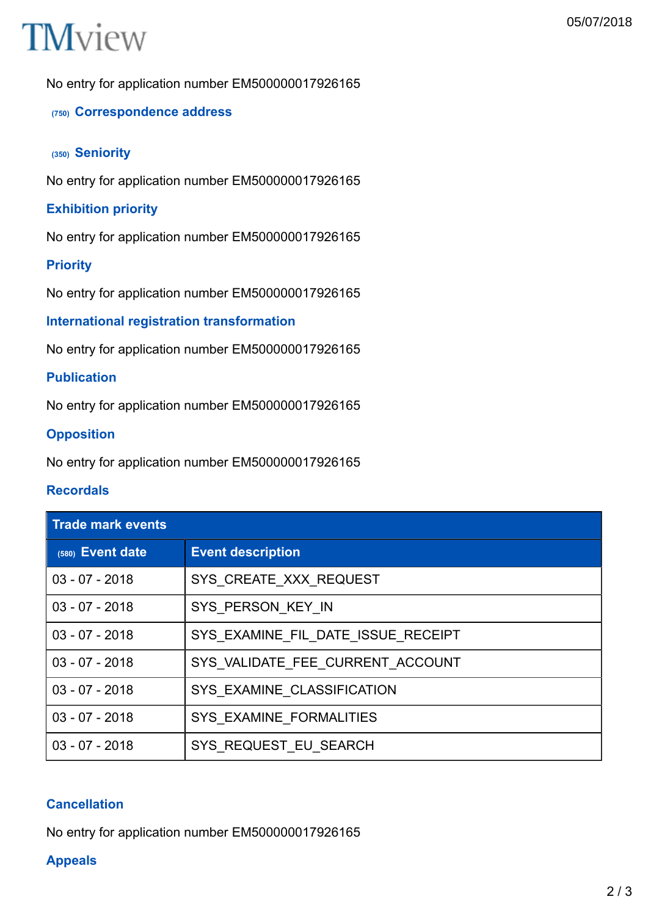# **TM**view

No entry for application number EM500000017926165

# **(750) Correspondence address**

#### **(350) Seniority**

No entry for application number EM500000017926165

## **Exhibition priority**

No entry for application number EM500000017926165

#### **Priority**

No entry for application number EM500000017926165

#### **International registration transformation**

No entry for application number EM500000017926165

# **Publication**

No entry for application number EM500000017926165

#### **Opposition**

No entry for application number EM500000017926165

#### **Recordals**

| <b>Trade mark events</b> |                                    |  |
|--------------------------|------------------------------------|--|
| (580) Event date         | <b>Event description</b>           |  |
| $03 - 07 - 2018$         | SYS CREATE XXX REQUEST             |  |
| $03 - 07 - 2018$         | SYS PERSON KEY IN                  |  |
| $03 - 07 - 2018$         | SYS EXAMINE FIL DATE ISSUE RECEIPT |  |
| $03 - 07 - 2018$         | SYS_VALIDATE_FEE_CURRENT_ACCOUNT   |  |
| $03 - 07 - 2018$         | SYS EXAMINE CLASSIFICATION         |  |
| $03 - 07 - 2018$         | SYS EXAMINE FORMALITIES            |  |
| $03 - 07 - 2018$         | SYS REQUEST EU SEARCH              |  |

#### **Cancellation**

No entry for application number EM500000017926165

#### **Appeals**